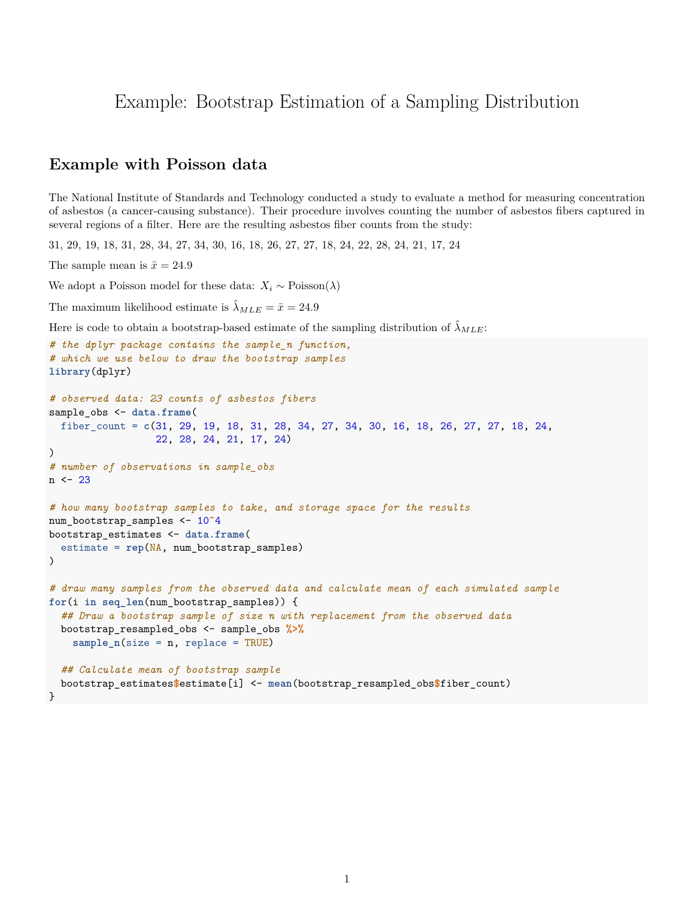# Example: Bootstrap Estimation of a Sampling Distribution

## **Example with Poisson data**

The National Institute of Standards and Technology conducted a study to evaluate a method for measuring concentration of asbestos (a cancer-causing substance). Their procedure involves counting the number of asbestos fibers captured in several regions of a filter. Here are the resulting asbestos fiber counts from the study:

31, 29, 19, 18, 31, 28, 34, 27, 34, 30, 16, 18, 26, 27, 27, 18, 24, 22, 28, 24, 21, 17, 24

The sample mean is  $\bar{x} = 24.9$ 

We adopt a Poisson model for these data:  $X_i \sim \text{Poisson}(\lambda)$ 

The maximum likelihood estimate is  $\hat{\lambda}_{MLE} = \bar{x} = 24.9$ 

Here is code to obtain a bootstrap-based estimate of the sampling distribution of  $\hat{\lambda}_{MLE}$ .

```
# the dplyr package contains the sample_n function,
# which we use below to draw the bootstrap samples
library(dplyr)
# observed data: 23 counts of asbestos fibers
sample_obs <- data.frame(
  fiber_count = c(31, 29, 19, 18, 31, 28, 34, 27, 34, 30, 16, 18, 26, 27, 27, 18, 24,
                  22, 28, 24, 21, 17, 24)
)
# number of observations in sample_obs
n \le -23# how many bootstrap samples to take, and storage space for the results
num_bootstrap_samples <- 10^4
bootstrap_estimates <- data.frame(
  estimate = rep(NA, num_bootstrap_samples)
)
# draw many samples from the observed data and calculate mean of each simulated sample
for(i in seq_len(num_bootstrap_samples)) {
  ## Draw a bootstrap sample of size n with replacement from the observed data
  bootstrap_resampled_obs <- sample_obs %>%
    sample_n(size = n, replace = TRUE)
  ## Calculate mean of bootstrap sample
  bootstrap_estimates$estimate[i] <- mean(bootstrap_resampled_obs$fiber_count)
}
```